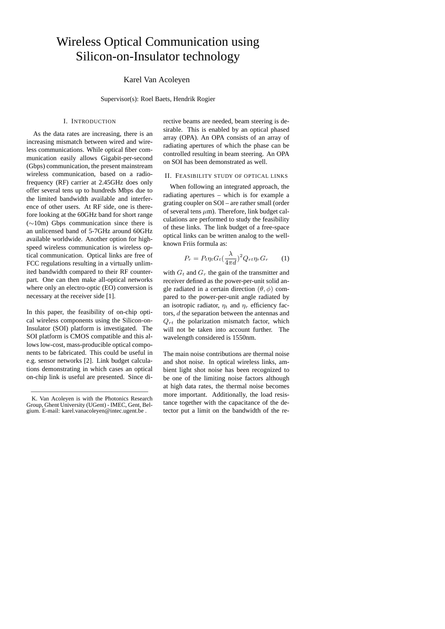# Wireless Optical Communication using Silicon-on-Insulator technology

# Karel Van Acoleyen

Supervisor(s): Roel Baets, Hendrik Rogier

## I. INTRODUCTION

As the data rates are increasing, there is an increasing mismatch between wired and wireless communications. While optical fiber communication easily allows Gigabit-per-second (Gbps) communication, the present mainstream wireless communication, based on a radiofrequency (RF) carrier at 2.45GHz does only offer several tens up to hundreds Mbps due to the limited bandwidth available and interference of other users. At RF side, one is therefore looking at the 60GHz band for short range (∼10m) Gbps communication since there is an unlicensed band of 5-7GHz around 60GHz available worldwide. Another option for highspeed wireless communication is wireless optical communication. Optical links are free of FCC regulations resulting in a virtually unlimited bandwidth compared to their RF counterpart. One can then make all-optical networks where only an electro-optic (EO) conversion is necessary at the receiver side [1].

In this paper, the feasibility of on-chip optical wireless components using the Silicon-on-Insulator (SOI) platform is investigated. The SOI platform is CMOS compatible and this allows low-cost, mass-producible optical components to be fabricated. This could be useful in e.g. sensor networks [2]. Link budget calculations demonstrating in which cases an optical on-chip link is useful are presented. Since directive beams are needed, beam steering is desirable. This is enabled by an optical phased array (OPA). An OPA consists of an array of radiating apertures of which the phase can be controlled resulting in beam steering. An OPA on SOI has been demonstrated as well.

## II. FEASIBILITY STUDY OF OPTICAL LINKS

When following an integrated approach, the radiating apertures – which is for example a grating coupler on SOI – are rather small (order of several tens  $\mu$ m). Therefore, link budget calculations are performed to study the feasibility of these links. The link budget of a free-space optical links can be written analog to the wellknown Friis formula as:

$$
P_r = P_t \eta_t G_t \left(\frac{\lambda}{4\pi d}\right)^2 Q_{rt} \eta_r G_r \qquad (1)
$$

with  $G_t$  and  $G_r$  the gain of the transmitter and receiver defined as the power-per-unit solid angle radiated in a certain direction  $(\theta, \phi)$  compared to the power-per-unit angle radiated by an isotropic radiator,  $\eta_t$  and  $\eta_r$  efficiency factors, d the separation between the antennas and  $Q_{rt}$  the polarization mismatch factor, which will not be taken into account further. The wavelength considered is 1550nm.

The main noise contributions are thermal noise and shot noise. In optical wireless links, ambient light shot noise has been recognized to be one of the limiting noise factors although at high data rates, the thermal noise becomes more important. Additionally, the load resistance together with the capacitance of the detector put a limit on the bandwidth of the re-

<sup>—————————————————–</sup> K. Van Acoleyen is with the Photonics Research Group, Ghent University (UGent) - IMEC, Gent, Belgium. E-mail: karel.vanacoleyen@intec.ugent.be .